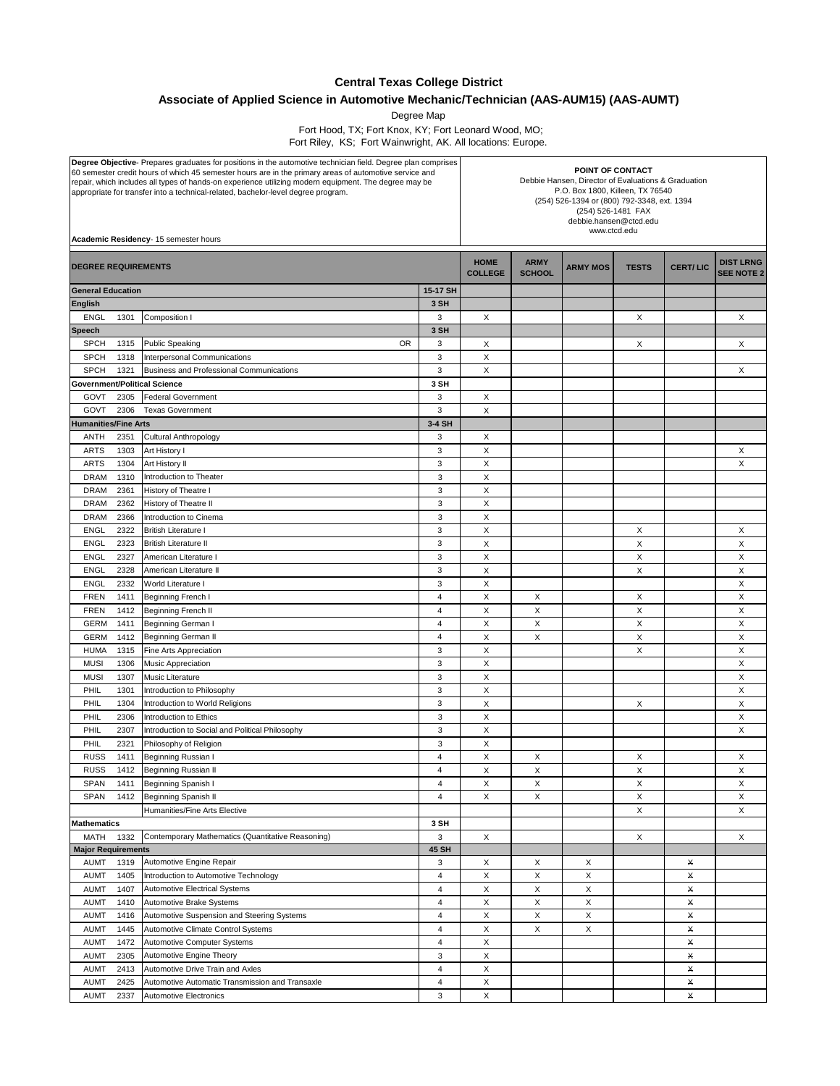## **Central Texas College District**

**Associate of Applied Science in Automotive Mechanic/Technician (AAS-AUM15) (AAS-AUMT)**

Degree Map

 Fort Hood, TX; Fort Knox, KY; Fort Leonard Wood, MO; Fort Riley, KS; Fort Wainwright, AK. All locations: Europe.

| Degree Objective- Prepares graduates for positions in the automotive technician field. Degree plan comprises<br>60 semester credit hours of which 45 semester hours are in the primary areas of automotive service and<br>repair, which includes all types of hands-on experience utilizing modern equipment. The degree may be<br>appropriate for transfer into a technical-related, bachelor-level degree program.<br>Academic Residency- 15 semester hours |              |                                                                        | POINT OF CONTACT<br>Debbie Hansen, Director of Evaluations & Graduation<br>P.O. Box 1800, Killeen, TX 76540<br>(254) 526-1394 or (800) 792-3348, ext. 1394<br>(254) 526-1481 FAX<br>debbie.hansen@ctcd.edu<br>www.ctcd.edu |                              |                 |              |                 |                                       |   |
|---------------------------------------------------------------------------------------------------------------------------------------------------------------------------------------------------------------------------------------------------------------------------------------------------------------------------------------------------------------------------------------------------------------------------------------------------------------|--------------|------------------------------------------------------------------------|----------------------------------------------------------------------------------------------------------------------------------------------------------------------------------------------------------------------------|------------------------------|-----------------|--------------|-----------------|---------------------------------------|---|
| <b>DEGREE REQUIREMENTS</b>                                                                                                                                                                                                                                                                                                                                                                                                                                    |              |                                                                        | <b>HOME</b><br><b>COLLEGE</b>                                                                                                                                                                                              | <b>ARMY</b><br><b>SCHOOL</b> | <b>ARMY MOS</b> | <b>TESTS</b> | <b>CERT/LIC</b> | <b>DIST LRNG</b><br><b>SEE NOTE 2</b> |   |
| <b>General Education</b>                                                                                                                                                                                                                                                                                                                                                                                                                                      |              |                                                                        | 15-17 SH                                                                                                                                                                                                                   |                              |                 |              |                 |                                       |   |
| <b>English</b>                                                                                                                                                                                                                                                                                                                                                                                                                                                |              |                                                                        | 3 SH                                                                                                                                                                                                                       |                              |                 |              |                 |                                       |   |
| <b>ENGL</b>                                                                                                                                                                                                                                                                                                                                                                                                                                                   | 1301         | Composition I                                                          | 3                                                                                                                                                                                                                          | X                            |                 |              | X               |                                       | X |
| <b>Speech</b>                                                                                                                                                                                                                                                                                                                                                                                                                                                 |              |                                                                        | 3 SH                                                                                                                                                                                                                       |                              |                 |              |                 |                                       |   |
| <b>SPCH</b>                                                                                                                                                                                                                                                                                                                                                                                                                                                   | 1315         | <b>OR</b><br><b>Public Speaking</b>                                    | 3                                                                                                                                                                                                                          | Χ                            |                 |              | Х               |                                       | X |
| <b>SPCH</b>                                                                                                                                                                                                                                                                                                                                                                                                                                                   | 1318         | Interpersonal Communications                                           | 3                                                                                                                                                                                                                          | X                            |                 |              |                 |                                       |   |
| <b>SPCH</b>                                                                                                                                                                                                                                                                                                                                                                                                                                                   | 1321         | Business and Professional Communications                               | 3                                                                                                                                                                                                                          | X                            |                 |              |                 |                                       | X |
| <b>Government/Political Science</b>                                                                                                                                                                                                                                                                                                                                                                                                                           |              |                                                                        | 3 SH<br>3                                                                                                                                                                                                                  |                              |                 |              |                 |                                       |   |
| GOVT<br>GOVT                                                                                                                                                                                                                                                                                                                                                                                                                                                  | 2305<br>2306 | <b>Federal Government</b><br><b>Texas Government</b>                   | 3                                                                                                                                                                                                                          | X<br>X                       |                 |              |                 |                                       |   |
| <b>Humanities/Fine Arts</b>                                                                                                                                                                                                                                                                                                                                                                                                                                   |              |                                                                        | 3-4 SH                                                                                                                                                                                                                     |                              |                 |              |                 |                                       |   |
|                                                                                                                                                                                                                                                                                                                                                                                                                                                               |              |                                                                        | 3                                                                                                                                                                                                                          | X                            |                 |              |                 |                                       |   |
| ANTH<br><b>ARTS</b>                                                                                                                                                                                                                                                                                                                                                                                                                                           | 2351<br>1303 | Cultural Anthropology<br>Art History I                                 | 3                                                                                                                                                                                                                          | X                            |                 |              |                 |                                       | X |
| <b>ARTS</b>                                                                                                                                                                                                                                                                                                                                                                                                                                                   | 1304         | Art History II                                                         | 3                                                                                                                                                                                                                          | X                            |                 |              |                 |                                       | X |
| <b>DRAM</b>                                                                                                                                                                                                                                                                                                                                                                                                                                                   | 1310         | Introduction to Theater                                                | 3                                                                                                                                                                                                                          | X                            |                 |              |                 |                                       |   |
| <b>DRAM</b>                                                                                                                                                                                                                                                                                                                                                                                                                                                   | 2361         | History of Theatre I                                                   | 3                                                                                                                                                                                                                          | X                            |                 |              |                 |                                       |   |
| <b>DRAM</b>                                                                                                                                                                                                                                                                                                                                                                                                                                                   | 2362         | History of Theatre II                                                  | 3                                                                                                                                                                                                                          | X                            |                 |              |                 |                                       |   |
| <b>DRAM</b>                                                                                                                                                                                                                                                                                                                                                                                                                                                   | 2366         | Introduction to Cinema                                                 | 3                                                                                                                                                                                                                          | X                            |                 |              |                 |                                       |   |
| <b>ENGL</b>                                                                                                                                                                                                                                                                                                                                                                                                                                                   | 2322         | <b>British Literature I</b>                                            | 3                                                                                                                                                                                                                          | X                            |                 |              | Х               |                                       | Х |
| <b>ENGL</b>                                                                                                                                                                                                                                                                                                                                                                                                                                                   | 2323         | <b>British Literature II</b>                                           | 3                                                                                                                                                                                                                          | X                            |                 |              | X               |                                       | X |
| <b>ENGL</b>                                                                                                                                                                                                                                                                                                                                                                                                                                                   | 2327         | American Literature I                                                  | 3                                                                                                                                                                                                                          | X                            |                 |              | Х               |                                       | X |
| <b>ENGL</b>                                                                                                                                                                                                                                                                                                                                                                                                                                                   | 2328         | American Literature II                                                 | 3                                                                                                                                                                                                                          | X                            |                 |              | X               |                                       | X |
| <b>ENGL</b>                                                                                                                                                                                                                                                                                                                                                                                                                                                   | 2332         | World Literature I                                                     | 3                                                                                                                                                                                                                          | X                            |                 |              |                 |                                       | X |
| <b>FREN</b>                                                                                                                                                                                                                                                                                                                                                                                                                                                   | 1411         | Beginning French I                                                     | $\overline{4}$                                                                                                                                                                                                             | X                            | X               |              | X               |                                       | X |
| <b>FREN</b>                                                                                                                                                                                                                                                                                                                                                                                                                                                   | 1412         | Beginning French II                                                    | 4                                                                                                                                                                                                                          | X                            | Х               |              | Х               |                                       | X |
| <b>GERM</b>                                                                                                                                                                                                                                                                                                                                                                                                                                                   | 1411         | Beginning German I                                                     | 4                                                                                                                                                                                                                          | X                            | X               |              | X               |                                       | X |
| GERM                                                                                                                                                                                                                                                                                                                                                                                                                                                          | 1412         | <b>Beginning German II</b>                                             | $\overline{4}$                                                                                                                                                                                                             | X                            | X               |              | X               |                                       | X |
| <b>HUMA</b>                                                                                                                                                                                                                                                                                                                                                                                                                                                   | 1315         | Fine Arts Appreciation                                                 | 3                                                                                                                                                                                                                          | X                            |                 |              | X               |                                       | X |
| <b>MUSI</b>                                                                                                                                                                                                                                                                                                                                                                                                                                                   | 1306         | Music Appreciation                                                     | 3                                                                                                                                                                                                                          | X                            |                 |              |                 |                                       | X |
| <b>MUSI</b>                                                                                                                                                                                                                                                                                                                                                                                                                                                   | 1307         | Music Literature                                                       | 3                                                                                                                                                                                                                          | $\mathsf X$                  |                 |              |                 |                                       | X |
| PHIL                                                                                                                                                                                                                                                                                                                                                                                                                                                          | 1301         | Introduction to Philosophy                                             | 3                                                                                                                                                                                                                          | X                            |                 |              |                 |                                       | X |
| PHIL                                                                                                                                                                                                                                                                                                                                                                                                                                                          | 1304         | Introduction to World Religions                                        | 3                                                                                                                                                                                                                          | X                            |                 |              | X               |                                       | X |
| PHIL                                                                                                                                                                                                                                                                                                                                                                                                                                                          | 2306         | Introduction to Ethics                                                 | 3                                                                                                                                                                                                                          | X                            |                 |              |                 |                                       | X |
| PHIL                                                                                                                                                                                                                                                                                                                                                                                                                                                          | 2307         | Introduction to Social and Political Philosophy                        | 3                                                                                                                                                                                                                          | X                            |                 |              |                 |                                       | X |
| PHIL                                                                                                                                                                                                                                                                                                                                                                                                                                                          | 2321         | Philosophy of Religion                                                 | 3                                                                                                                                                                                                                          | X                            |                 |              |                 |                                       |   |
| <b>RUSS</b>                                                                                                                                                                                                                                                                                                                                                                                                                                                   | 1411         | Beginning Russian I                                                    | $\overline{4}$                                                                                                                                                                                                             | X                            | Х               |              | Х               |                                       | X |
| <b>RUSS</b>                                                                                                                                                                                                                                                                                                                                                                                                                                                   | 1412         | Beginning Russian II                                                   | 4                                                                                                                                                                                                                          | х                            | Х               |              | х               |                                       | Χ |
| <b>SPAN</b>                                                                                                                                                                                                                                                                                                                                                                                                                                                   | 1411         | Beginning Spanish I                                                    | $\overline{4}$                                                                                                                                                                                                             | X                            | X               |              | X               |                                       | X |
| SPAN                                                                                                                                                                                                                                                                                                                                                                                                                                                          | 1412         | Beginning Spanish II                                                   | 4                                                                                                                                                                                                                          | X                            | X               |              | X               |                                       | X |
|                                                                                                                                                                                                                                                                                                                                                                                                                                                               |              | Humanities/Fine Arts Elective                                          |                                                                                                                                                                                                                            |                              |                 |              | X               |                                       | X |
| <b>Mathematics</b>                                                                                                                                                                                                                                                                                                                                                                                                                                            |              |                                                                        | 3 SH                                                                                                                                                                                                                       |                              |                 |              |                 |                                       |   |
| MATH                                                                                                                                                                                                                                                                                                                                                                                                                                                          | 1332         | Contemporary Mathematics (Quantitative Reasoning)                      | 3                                                                                                                                                                                                                          | X                            |                 |              | Х               |                                       | X |
| <b>Major Requirements</b><br>Automotive Engine Repair                                                                                                                                                                                                                                                                                                                                                                                                         |              | 45 SH                                                                  |                                                                                                                                                                                                                            |                              |                 |              |                 |                                       |   |
| AUMT                                                                                                                                                                                                                                                                                                                                                                                                                                                          | 1319         |                                                                        | 3                                                                                                                                                                                                                          | X                            | X               | X            |                 | X                                     |   |
| <b>AUMT</b>                                                                                                                                                                                                                                                                                                                                                                                                                                                   | 1405         | Introduction to Automotive Technology                                  | $\overline{4}$                                                                                                                                                                                                             | X                            | Х               | X            |                 | x                                     |   |
| <b>AUMT</b>                                                                                                                                                                                                                                                                                                                                                                                                                                                   | 1407         | <b>Automotive Electrical Systems</b>                                   | $\overline{4}$                                                                                                                                                                                                             | X                            | X               | X            |                 | $\pmb{\times}$                        |   |
| <b>AUMT</b><br><b>AUMT</b>                                                                                                                                                                                                                                                                                                                                                                                                                                    | 1410<br>1416 | Automotive Brake Systems<br>Automotive Suspension and Steering Systems | 4<br>$\overline{\mathbf{4}}$                                                                                                                                                                                               | Х<br>X                       | Х<br>X          | X<br>X       |                 | x<br>X                                |   |
| <b>AUMT</b>                                                                                                                                                                                                                                                                                                                                                                                                                                                   | 1445         | Automotive Climate Control Systems                                     | $\overline{4}$                                                                                                                                                                                                             | X                            | X               | X            |                 | $\pmb{\times}$                        |   |
| <b>AUMT</b>                                                                                                                                                                                                                                                                                                                                                                                                                                                   | 1472         | Automotive Computer Systems                                            | $\overline{4}$                                                                                                                                                                                                             | X                            |                 |              |                 | X                                     |   |
| <b>AUMT</b>                                                                                                                                                                                                                                                                                                                                                                                                                                                   | 2305         | Automotive Engine Theory                                               | 3                                                                                                                                                                                                                          | X                            |                 |              |                 | X                                     |   |
| <b>AUMT</b>                                                                                                                                                                                                                                                                                                                                                                                                                                                   | 2413         | Automotive Drive Train and Axles                                       | $\overline{\mathbf{4}}$                                                                                                                                                                                                    | X                            |                 |              |                 | x                                     |   |
| <b>AUMT</b>                                                                                                                                                                                                                                                                                                                                                                                                                                                   | 2425         | Automotive Automatic Transmission and Transaxle                        | $\overline{\mathbf{4}}$                                                                                                                                                                                                    | X                            |                 |              |                 | $\pmb{\times}$                        |   |
| <b>AUMT</b>                                                                                                                                                                                                                                                                                                                                                                                                                                                   | 2337         | <b>Automotive Electronics</b>                                          | 3                                                                                                                                                                                                                          | $\mathsf X$                  |                 |              |                 | $\pmb{\times}$                        |   |